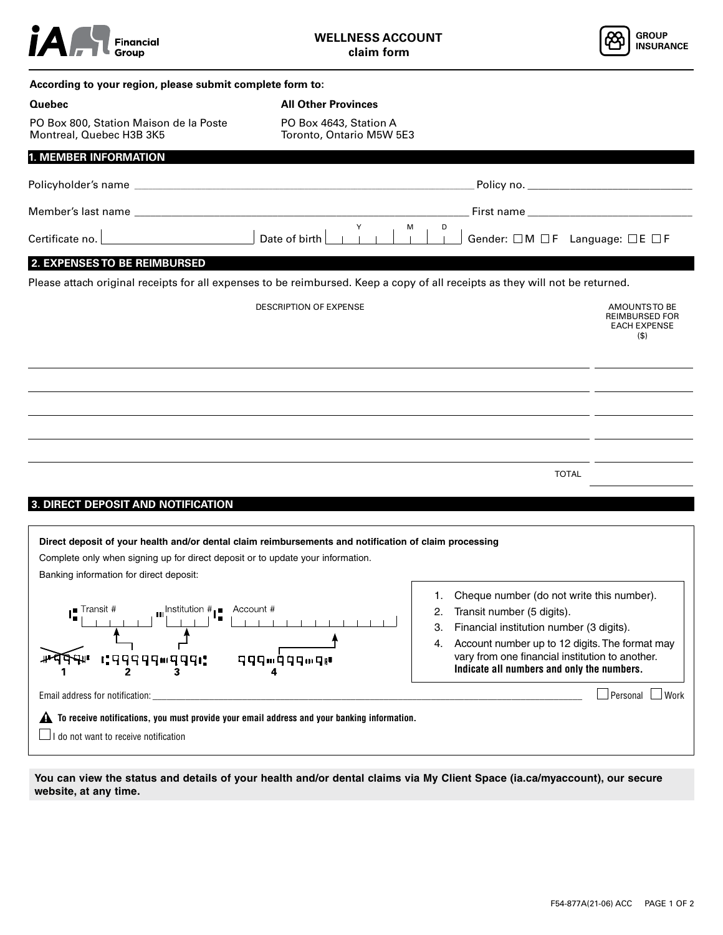



| Quebec<br><b>All Other Provinces</b><br>PO Box 800, Station Maison de la Poste<br>PO Box 4643, Station A<br>Montreal, Quebec H3B 3K5<br>Toronto, Ontario M5W 5E3<br><b>1. MEMBER INFORMATION</b><br>Member's last name<br>Y<br>D<br>м<br>Date of birth<br>Gender: □M □F Language: □E □F<br>Certificate no.<br>2. EXPENSES TO BE REIMBURSED<br>Please attach original receipts for all expenses to be reimbursed. Keep a copy of all receipts as they will not be returned.<br>DESCRIPTION OF EXPENSE<br><b>TOTAL</b><br>3. DIRECT DEPOSIT AND NOTIFICATION<br>Direct deposit of your health and/or dental claim reimbursements and notification of claim processing<br>Complete only when signing up for direct deposit or to update your information.<br>Banking information for direct deposit:<br>1. Cheque number (do not write this number).<br>$\mathbf{u}$ Institution $\mathbf{H}_{\parallel}$ Account #<br><b>Transit #</b><br>Transit number (5 digits).<br>2.<br>Financial institution number (3 digits).<br>3.<br>Account number up to 12 digits. The format may<br>4.<br>vary from one financial institution to another.<br>G9999™999G<br>999™999™9™<br>Indicate all numbers and only the numbers.<br>2<br>Email address for notification: |                                                                          |
|---------------------------------------------------------------------------------------------------------------------------------------------------------------------------------------------------------------------------------------------------------------------------------------------------------------------------------------------------------------------------------------------------------------------------------------------------------------------------------------------------------------------------------------------------------------------------------------------------------------------------------------------------------------------------------------------------------------------------------------------------------------------------------------------------------------------------------------------------------------------------------------------------------------------------------------------------------------------------------------------------------------------------------------------------------------------------------------------------------------------------------------------------------------------------------------------------------------------------------------------------------|--------------------------------------------------------------------------|
|                                                                                                                                                                                                                                                                                                                                                                                                                                                                                                                                                                                                                                                                                                                                                                                                                                                                                                                                                                                                                                                                                                                                                                                                                                                         |                                                                          |
|                                                                                                                                                                                                                                                                                                                                                                                                                                                                                                                                                                                                                                                                                                                                                                                                                                                                                                                                                                                                                                                                                                                                                                                                                                                         |                                                                          |
|                                                                                                                                                                                                                                                                                                                                                                                                                                                                                                                                                                                                                                                                                                                                                                                                                                                                                                                                                                                                                                                                                                                                                                                                                                                         |                                                                          |
|                                                                                                                                                                                                                                                                                                                                                                                                                                                                                                                                                                                                                                                                                                                                                                                                                                                                                                                                                                                                                                                                                                                                                                                                                                                         |                                                                          |
|                                                                                                                                                                                                                                                                                                                                                                                                                                                                                                                                                                                                                                                                                                                                                                                                                                                                                                                                                                                                                                                                                                                                                                                                                                                         |                                                                          |
|                                                                                                                                                                                                                                                                                                                                                                                                                                                                                                                                                                                                                                                                                                                                                                                                                                                                                                                                                                                                                                                                                                                                                                                                                                                         |                                                                          |
|                                                                                                                                                                                                                                                                                                                                                                                                                                                                                                                                                                                                                                                                                                                                                                                                                                                                                                                                                                                                                                                                                                                                                                                                                                                         |                                                                          |
|                                                                                                                                                                                                                                                                                                                                                                                                                                                                                                                                                                                                                                                                                                                                                                                                                                                                                                                                                                                                                                                                                                                                                                                                                                                         |                                                                          |
|                                                                                                                                                                                                                                                                                                                                                                                                                                                                                                                                                                                                                                                                                                                                                                                                                                                                                                                                                                                                                                                                                                                                                                                                                                                         | AMOUNTS TO BE<br><b>REIMBURSED FOR</b><br><b>EACH EXPENSE</b><br>$($ \$) |
|                                                                                                                                                                                                                                                                                                                                                                                                                                                                                                                                                                                                                                                                                                                                                                                                                                                                                                                                                                                                                                                                                                                                                                                                                                                         |                                                                          |
|                                                                                                                                                                                                                                                                                                                                                                                                                                                                                                                                                                                                                                                                                                                                                                                                                                                                                                                                                                                                                                                                                                                                                                                                                                                         |                                                                          |
|                                                                                                                                                                                                                                                                                                                                                                                                                                                                                                                                                                                                                                                                                                                                                                                                                                                                                                                                                                                                                                                                                                                                                                                                                                                         |                                                                          |
|                                                                                                                                                                                                                                                                                                                                                                                                                                                                                                                                                                                                                                                                                                                                                                                                                                                                                                                                                                                                                                                                                                                                                                                                                                                         |                                                                          |
|                                                                                                                                                                                                                                                                                                                                                                                                                                                                                                                                                                                                                                                                                                                                                                                                                                                                                                                                                                                                                                                                                                                                                                                                                                                         |                                                                          |
|                                                                                                                                                                                                                                                                                                                                                                                                                                                                                                                                                                                                                                                                                                                                                                                                                                                                                                                                                                                                                                                                                                                                                                                                                                                         |                                                                          |
|                                                                                                                                                                                                                                                                                                                                                                                                                                                                                                                                                                                                                                                                                                                                                                                                                                                                                                                                                                                                                                                                                                                                                                                                                                                         |                                                                          |
|                                                                                                                                                                                                                                                                                                                                                                                                                                                                                                                                                                                                                                                                                                                                                                                                                                                                                                                                                                                                                                                                                                                                                                                                                                                         |                                                                          |
|                                                                                                                                                                                                                                                                                                                                                                                                                                                                                                                                                                                                                                                                                                                                                                                                                                                                                                                                                                                                                                                                                                                                                                                                                                                         |                                                                          |
|                                                                                                                                                                                                                                                                                                                                                                                                                                                                                                                                                                                                                                                                                                                                                                                                                                                                                                                                                                                                                                                                                                                                                                                                                                                         |                                                                          |
|                                                                                                                                                                                                                                                                                                                                                                                                                                                                                                                                                                                                                                                                                                                                                                                                                                                                                                                                                                                                                                                                                                                                                                                                                                                         |                                                                          |
|                                                                                                                                                                                                                                                                                                                                                                                                                                                                                                                                                                                                                                                                                                                                                                                                                                                                                                                                                                                                                                                                                                                                                                                                                                                         |                                                                          |
|                                                                                                                                                                                                                                                                                                                                                                                                                                                                                                                                                                                                                                                                                                                                                                                                                                                                                                                                                                                                                                                                                                                                                                                                                                                         |                                                                          |
|                                                                                                                                                                                                                                                                                                                                                                                                                                                                                                                                                                                                                                                                                                                                                                                                                                                                                                                                                                                                                                                                                                                                                                                                                                                         |                                                                          |
|                                                                                                                                                                                                                                                                                                                                                                                                                                                                                                                                                                                                                                                                                                                                                                                                                                                                                                                                                                                                                                                                                                                                                                                                                                                         | $\Box$ Personal $\Box$ Work                                              |
| $\blacktriangle$ To receive notifications, you must provide your email address and your banking information.                                                                                                                                                                                                                                                                                                                                                                                                                                                                                                                                                                                                                                                                                                                                                                                                                                                                                                                                                                                                                                                                                                                                            |                                                                          |
| $\Box$ I do not want to receive notification                                                                                                                                                                                                                                                                                                                                                                                                                                                                                                                                                                                                                                                                                                                                                                                                                                                                                                                                                                                                                                                                                                                                                                                                            |                                                                          |

You can view the status and details of your health and/or dental claims via My Client Space (ia.ca/myaccount), our secure website, at any time.